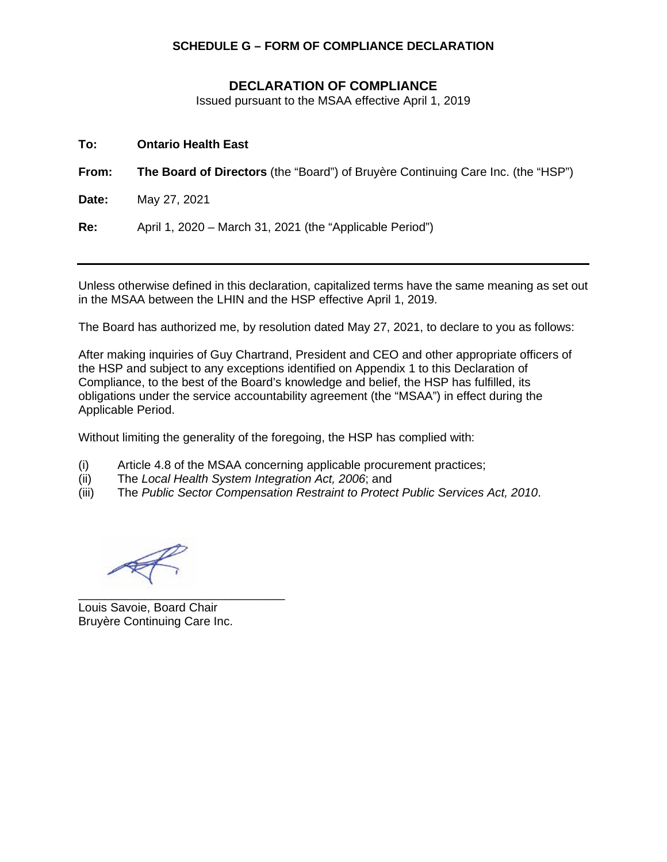## **SCHEDULE G – FORM OF COMPLIANCE DECLARATION**

## **DECLARATION OF COMPLIANCE**

Issued pursuant to the MSAA effective April 1, 2019

| To:   | <b>Ontario Health East</b>                                                              |
|-------|-----------------------------------------------------------------------------------------|
| From: | <b>The Board of Directors</b> (the "Board") of Bruyère Continuing Care Inc. (the "HSP") |
| Date: | May 27, 2021                                                                            |
| Re:   | April 1, 2020 - March 31, 2021 (the "Applicable Period")                                |

Unless otherwise defined in this declaration, capitalized terms have the same meaning as set out in the MSAA between the LHIN and the HSP effective April 1, 2019.

The Board has authorized me, by resolution dated May 27, 2021, to declare to you as follows:

After making inquiries of Guy Chartrand, President and CEO and other appropriate officers of the HSP and subject to any exceptions identified on Appendix 1 to this Declaration of Compliance, to the best of the Board's knowledge and belief, the HSP has fulfilled, its obligations under the service accountability agreement (the "MSAA") in effect during the Applicable Period.

Without limiting the generality of the foregoing, the HSP has complied with:

- (i) Article 4.8 of the MSAA concerning applicable procurement practices;<br>(ii) The Local Health System Integration Act. 2006; and
- 
- (ii) The *Local Health System Integration Act, 2006*; and The *Public Sector Compensation Restraint to Protect Public Services Act, 2010.*

\_\_\_\_\_\_\_\_\_\_\_\_\_\_\_\_\_\_\_\_\_\_\_\_\_\_\_\_\_\_\_ Louis Savoie, Board Chair Bruyère Continuing Care Inc.